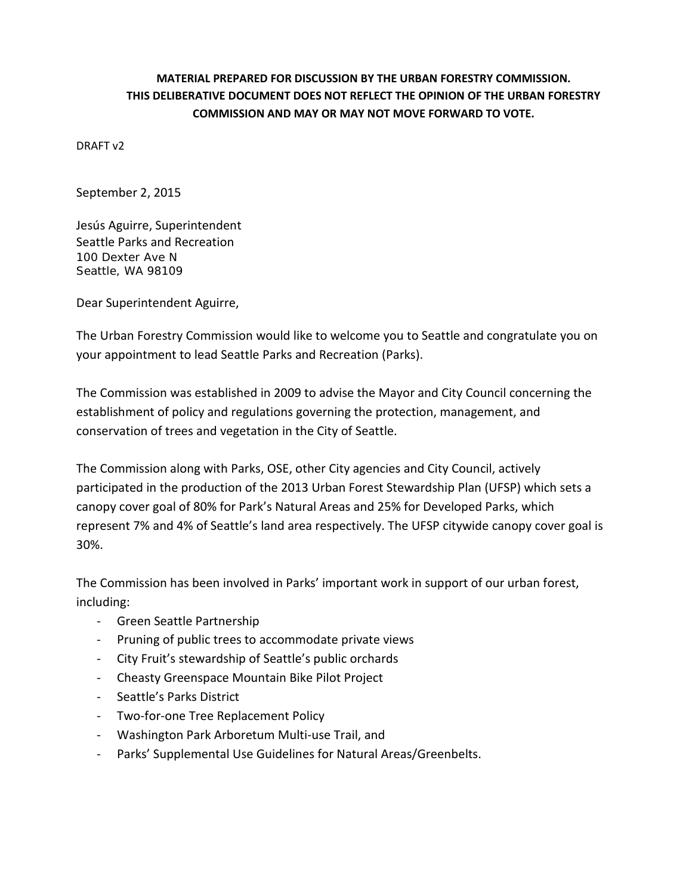## **MATERIAL PREPARED FOR DISCUSSION BY THE URBAN FORESTRY COMMISSION. THIS DELIBERATIVE DOCUMENT DOES NOT REFLECT THE OPINION OF THE URBAN FORESTRY COMMISSION AND MAY OR MAY NOT MOVE FORWARD TO VOTE.**

DRAFT v2

September 2, 2015

Jesús Aguirre, Superintendent Seattle Parks and Recreation 100 Dexter Ave N Seattle, WA 98109

Dear Superintendent Aguirre,

The Urban Forestry Commission would like to welcome you to Seattle and congratulate you on your appointment to lead Seattle Parks and Recreation (Parks).

The Commission was established in 2009 to advise the Mayor and City Council concerning the establishment of policy and regulations governing the protection, management, and conservation of trees and vegetation in the City of Seattle.

The Commission along with Parks, OSE, other City agencies and City Council, actively participated in the production of the 2013 Urban Forest Stewardship Plan (UFSP) which sets a canopy cover goal of 80% for Park's Natural Areas and 25% for Developed Parks, which represent 7% and 4% of Seattle's land area respectively. The UFSP citywide canopy cover goal is 30%.

The Commission has been involved in Parks' important work in support of our urban forest, including:

- Green Seattle Partnership
- Pruning of public trees to accommodate private views
- City Fruit's stewardship of Seattle's public orchards
- Cheasty Greenspace Mountain Bike Pilot Project
- Seattle's Parks District
- Two-for-one Tree Replacement Policy
- Washington Park Arboretum Multi-use Trail, and
- Parks' Supplemental Use Guidelines for Natural Areas/Greenbelts.